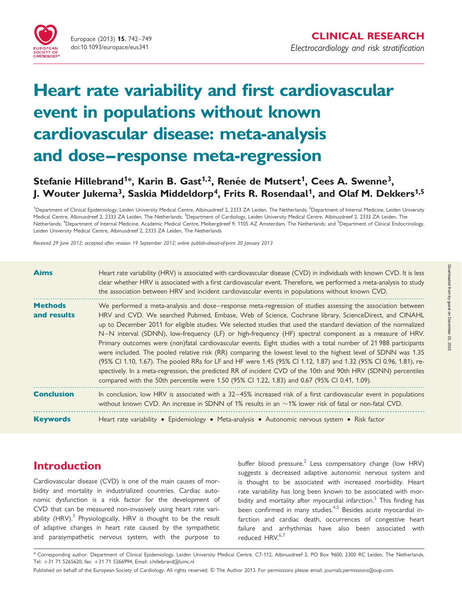# Heart rate variability and first cardiovascular event in populations without known cardiovascular disease: meta-analysis and dose–response meta-regression

# Stefanie Hillebrand<sup>1\*</sup>, Karin B. Gast<sup>1,2</sup>, Renée de Mutsert<sup>1</sup>, Cees A. Swenne<sup>3</sup>, J. Wouter Jukema<sup>3</sup>, Saskia Middeldorp<sup>4</sup>, Frits R. Rosendaal<sup>1</sup>, and Olaf M. Dekkers<sup>1,5</sup>

<sup>1</sup>Department of Clinical Epidemiology, Leiden University Medical Centre, Albinusdreef 2, 2333 ZA Leiden, The Netherlands; <sup>2</sup>Department of Internal Medicine, Leiden University Medical Centre, Albinusdreef 2, 2333 ZA Leiden, The Netherlands; <sup>3</sup>Department of Cardiology, Leiden University Medical Centre, Albinusdreef 2, 2333 ZA Leiden, The Netherlands; <sup>4</sup>Department of Internal Medicine, Academic Medical Centre, Meibergdreef 9, 1105 AZ Amsterdam, The Netherlands; and <sup>5</sup>Department of Clinical Endocrinology, Leiden University Medical Centre, Albinusdreef 2, 2333 ZA Leiden, The Netherlands

Received 29 June 2012; accepted after revision 19 September 2012; online publish-ahead-of-print 30 January 2013

| <b>Aims</b>                   | Heart rate variability (HRV) is associated with cardiovascular disease (CVD) in individuals with known CVD. It is less<br>clear whether HRV is associated with a first cardiovascular event. Therefore, we performed a meta-analysis to study<br>the association between HRV and incident cardiovascular events in populations without known CVD.                                                                                                                                                                                                                                                                                                                                                                                                                                                                                                                                                                                                                                                                              |
|-------------------------------|--------------------------------------------------------------------------------------------------------------------------------------------------------------------------------------------------------------------------------------------------------------------------------------------------------------------------------------------------------------------------------------------------------------------------------------------------------------------------------------------------------------------------------------------------------------------------------------------------------------------------------------------------------------------------------------------------------------------------------------------------------------------------------------------------------------------------------------------------------------------------------------------------------------------------------------------------------------------------------------------------------------------------------|
| <b>Methods</b><br>and results | We performed a meta-analysis and dose–response meta-regression of studies assessing the association between<br>HRV and CVD. We searched Pubmed, Embase, Web of Science, Cochrane library, ScienceDirect, and CINAHL<br>up to December 2011 for eligible studies. We selected studies that used the standard deviation of the normalized<br>N-N interval (SDNN), low-frequency (LF) or high-frequency (HF) spectral component as a measure of HRV.<br>Primary outcomes were (non)fatal cardiovascular events. Eight studies with a total number of 21 988 participants<br>were included. The pooled relative risk (RR) comparing the lowest level to the highest level of SDNN was 1.35<br>(95% CI 1.10, 1.67). The pooled RRs for LF and HF were 1.45 (95% CI 1.12, 1.87) and 1.32 (95% CI 0.96, 1.81), re-<br>spectively. In a meta-regression, the predicted RR of incident CVD of the 10th and 90th HRV (SDNN) percentiles<br>compared with the 50th percentile were 1.50 (95% Cl 1.22, 1.83) and 0.67 (95% Cl 0.41, 1.09). |
| <b>Conclusion</b>             | In conclusion, low HRV is associated with a 32-45% increased risk of a first cardiovascular event in populations<br>without known CVD. An increase in SDNN of 1% results in an $\sim$ 1% lower risk of fatal or non-fatal CVD.                                                                                                                                                                                                                                                                                                                                                                                                                                                                                                                                                                                                                                                                                                                                                                                                 |
| <b>Keywords</b>               | Heart rate variability • Epidemiology • Meta-analysis • Autonomic nervous system • Risk factor                                                                                                                                                                                                                                                                                                                                                                                                                                                                                                                                                                                                                                                                                                                                                                                                                                                                                                                                 |

# Introduction

Cardiovascular disease (CVD) is one of the main causes of morbidity and mortality in industrialized countries. Cardiac autonomic dysfunction is a risk factor for the development of CVD that can be measured non-invasively using heart rate vari-ability (HRV).<sup>[1](#page-6-0)</sup> Physiologically, HRV is thought to be the result of adaptive changes in heart rate caused by the sympathetic and parasympathetic nervous system, with the purpose to

buffer blood pressure.<sup>[2](#page-6-0)</sup> Less compensatory change (low HRV) suggests a decreased adaptive autonomic nervous system and is thought to be associated with increased morbidity. Heart rate variability has long been known to be associated with morbidity and mortality after myocardial infarction.<sup>3</sup> This finding has been confirmed in many studies.<sup>4,5</sup> Besides acute myocardial infarction and cardiac death, occurrences of congestive heart failure and arrhythmias have also been associated with reduced HRV.<sup>[6,7](#page-7-0)</sup>

<sup>\*</sup> Corresponding author. Department of Clinical Epidemiology, Leiden University Medical Centre, C7-112, Albinusdreef 2, PO Box 9600, 2300 RC Leiden, The Netherlands. Tel: +31 71 5265620; fax: +31 71 5266994, Email: s.hillebrand@lumc.nl

Published on behalf of the European Society of Cardiology. All rights reserved. © The Author 2013. For permissions please email: journals.permissions@oup.com.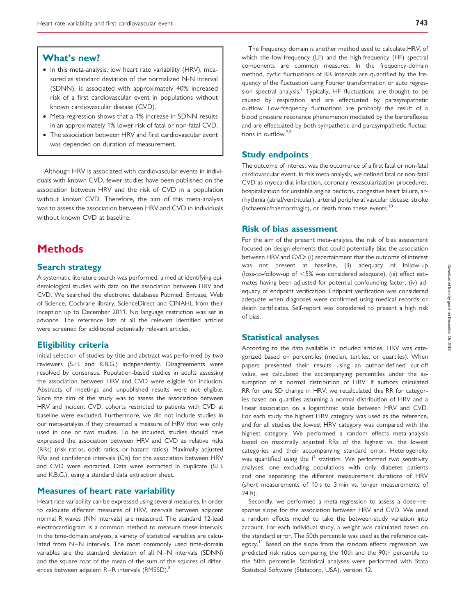## What's new?

- In this meta-analysis, low heart rate variability (HRV), measured as standard deviation of the normalized N-N interval (SDNN), is associated with approximately 40% increased risk of a first cardiovascular event in populations without known cardiovascular disease (CVD).
- Meta-regression shows that a 1% increase in SDNN results in an approximately 1% lower risk of fatal or non-fatal CVD.
- The association between HRV and first cardiovascular event was depended on duration of measurement.

Although HRV is associated with cardiovascular events in individuals with known CVD, fewer studies have been published on the association between HRV and the risk of CVD in a population without known CVD. Therefore, the aim of this meta-analysis was to assess the association between HRV and CVD in individuals without known CVD at baseline.

## **Methods**

#### Search strategy

A systematic literature search was performed, aimed at identifying epidemiological studies with data on the association between HRV and CVD. We searched the electronic databases Pubmed, Embase, Web of Science, Cochrane library, ScienceDirect and CINAHL from their inception up to December 2011. No language restriction was set in advance. The reference lists of all the relevant identified articles were screened for additional potentially relevant articles.

#### Eligibility criteria

Initial selection of studies by title and abstract was performed by two reviewers (S.H. and K.B.G.) independently. Disagreements were resolved by consensus. Population-based studies in adults assessing the association between HRV and CVD were eligible for inclusion. Abstracts of meetings and unpublished results were not eligible. Since the aim of the study was to assess the association between HRV and incident CVD, cohorts restricted to patients with CVD at baseline were excluded. Furthermore, we did not include studies in our meta-analysis if they presented a measure of HRV that was only used in one or two studies. To be included, studies should have expressed the association between HRV and CVD as relative risks (RRs) (risk ratios, odds ratios, or hazard ratios). Maximally adjusted RRs and confidence intervals (CIs) for the association between HRV and CVD were extracted. Data were extracted in duplicate (S.H. and K.B.G.), using a standard data extraction sheet.

#### Measures of heart rate variability

Heart rate variability can be expressed using several measures. In order to calculate different measures of HRV, intervals between adjacent normal R waves (NN intervals) are measured. The standard 12-lead electrocardiogram is a common method to measure these intervals. In the time-domain analyses, a variety of statistical variables are calculated from N–N intervals. The most commonly used time-domain variables are the standard deviation of all N–N intervals (SDNN) and the square root of the mean of the sum of the squares of differences between adjacent  $R - R$  intervals (RMSSD).<sup>[8](#page-7-0)</sup>

The frequency domain is another method used to calculate HRV, of which the low-frequency (LF) and the high-frequency (HF) spectral components are common measures. In the frequency-domain method, cyclic fluctuations of RR intervals are quantified by the frequency of the fluctuation using Fourier transformation or auto regres-sion spectral analysis.<sup>[1](#page-6-0)</sup> Typically, HF fluctuations are thought to be caused by respiration and are effectuated by parasympathetic outflow. Low-frequency fluctuations are probably the result of a blood pressure resonance phenomenon mediated by the baroreflexes and are effectuated by both sympathetic and parasympathetic fluctuations in outflow.[2,](#page-6-0)[9](#page-7-0)

#### Study endpoints

The outcome of interest was the occurrence of a first fatal or non-fatal cardiovascular event. In this meta-analysis, we defined fatal or non-fatal CVD as myocardial infarction, coronary revascularization procedures, hospitalization for unstable angina pectoris, congestive heart failure, arrhythmia (atrial/ventricular), arterial peripheral vascular disease, stroke (ischaemic/haemorrhagic), or death from these events.<sup>[10](#page-7-0)</sup>

#### Risk of bias assessment

For the aim of the present meta-analysis, the risk of bias assessment focused on design elements that could potentially bias the association between HRV and CVD: (i) ascertainment that the outcome of interest was not present at baseline, (ii) adequacy of follow-up (loss-to-follow-up of  $<$  5% was considered adequate), (iii) effect estimates having been adjusted for potential confounding factor, (iv) adequacy of endpoint verification. Endpoint verification was considered adequate when diagnoses were confirmed using medical records or death certificates. Self-report was considered to present a high risk of bias.

#### Statistical analyses

According to the data available in included articles, HRV was categorized based on percentiles (median, tertiles, or quartiles). When papers presented their results using an author-defined cut-off value, we calculated the accompanying percentiles under the assumption of a normal distribution of HRV. If authors calculated RR for one SD change in HRV, we recalculated this RR for categories based on quartiles assuming a normal distribution of HRV and a linear association on a logarithmic scale between HRV and CVD. For each study the highest HRV category was used as the reference, and for all studies the lowest HRV category was compared with the highest category. We performed a random effects meta-analysis based on maximally adjusted RRs of the highest vs. the lowest categories and their accompanying standard error. Heterogeneity was quantified using the  $l^2$  statistics. We performed two sensitivity analyses: one excluding populations with only diabetes patients and one separating the different measurement durations of HRV (short measurements of 10 s to 3 min vs. longer measurements of 24 h).

Secondly, we performed a meta-regression to assess a dose-response slope for the association between HRV and CVD. We used a random effects model to take the between-study variation into account. For each individual study, a weight was calculated based on the standard error. The 50th percentile was used as the reference cat-egory.<sup>[11](#page-7-0)</sup> Based on the slope from the random effects regression, we predicted risk ratios comparing the 10th and the 90th percentile to the 50th percentile. Statistical analyses were performed with Stata Statistical Software (Statacorp, USA), version 12.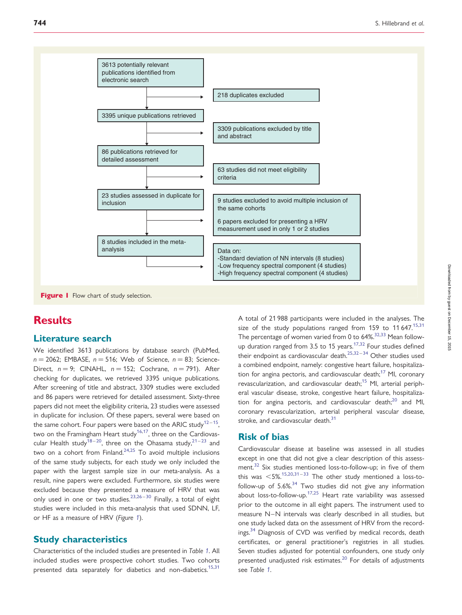

Figure I Flow chart of study selection.

# **Results**

#### Literature search

We identified 3613 publications by database search (PubMed,  $n = 2062$ ; EMBASE,  $n = 516$ ; Web of Science,  $n = 83$ ; Science-Direct,  $n = 9$ ; CINAHL,  $n = 152$ ; Cochrane,  $n = 791$ ). After checking for duplicates, we retrieved 3395 unique publications. After screening of title and abstract, 3309 studies were excluded and 86 papers were retrieved for detailed assessment. Sixty-three papers did not meet the eligibility criteria, 23 studies were assessed in duplicate for inclusion. Of these papers, several were based on the same cohort. Four papers were based on the ARIC study<sup>[12](#page-7-0)-[15](#page-7-0)</sup>, two on the Framingham Heart study<sup>[16,17](#page-7-0)</sup>, three on the Cardiovas-cular Health study<sup>18-20</sup>, three on the Ohasama study,<sup>[21](#page-7-0)-[23](#page-7-0)</sup> and two on a cohort from Finland.<sup>[24](#page-7-0),[25](#page-7-0)</sup> To avoid multiple inclusions of the same study subjects, for each study we only included the paper with the largest sample size in our meta-analysis. As a result, nine papers were excluded. Furthermore, six studies were excluded because they presented a measure of HRV that was only used in one or two studies.<sup>[23,26](#page-7-0)-[30](#page-7-0)</sup> Finally, a total of eight studies were included in this meta-analysis that used SDNN, LF, or HF as a measure of HRV (Figure 1).

#### Study characteristics

Characteristics of the included studies are presented in Table [1](#page-3-0). All included studies were prospective cohort studies. Two cohorts presented data separately for diabetics and non-diabetics.<sup>15,31</sup> A total of 21 988 participants were included in the analyses. The size of the study populations ranged from  $159$  to  $11\,647$ .<sup>15,[31](#page-7-0)</sup> The percentage of women varied from 0 to  $64\frac{32,33}{1}$  $64\frac{32,33}{1}$  $64\frac{32,33}{1}$  Mean follow-up duration ranged from 3.5 to 15 years.<sup>[17,32](#page-7-0)</sup> Four studies defined their endpoint as cardiovascular death. $25,32-34$  $25,32-34$  $25,32-34$  Other studies used a combined endpoint, namely: congestive heart failure, hospitaliza-tion for angina pectoris, and cardiovascular death;<sup>[17](#page-7-0)</sup> MI, coronary revascularization, and cardiovascular death;<sup>[15](#page-7-0)</sup> MI, arterial peripheral vascular disease, stroke, congestive heart failure, hospitalization for angina pectoris, and cardiovascular death; $^{20}$  $^{20}$  $^{20}$  and MI, coronary revascularization, arterial peripheral vascular disease, stroke, and cardiovascular death.<sup>[31](#page-7-0)</sup>

## Risk of bias

Cardiovascular disease at baseline was assessed in all studies except in one that did not give a clear description of this assess-ment.<sup>[32](#page-7-0)</sup> Six studies mentioned loss-to-follow-up; in five of them this was  $\leq$  5%.<sup>15,20,31–[33](#page-7-0)</sup> The other study mentioned a loss-tofollow-up of  $5.6\%$ <sup>[34](#page-7-0)</sup> Two studies did not give any information about loss-to-follow-up.<sup>[17,25](#page-7-0)</sup> Heart rate variability was assessed prior to the outcome in all eight papers. The instrument used to measure N-N intervals was clearly described in all studies, but one study lacked data on the assessment of HRV from the record-ings.<sup>[34](#page-7-0)</sup> Diagnosis of CVD was verified by medical records, death certificates, or general practitioner's registries in all studies. Seven studies adjusted for potential confounders, one study only presented unadjusted risk estimates. $^{20}$  $^{20}$  $^{20}$  For details of adjustments see Table [1](#page-3-0).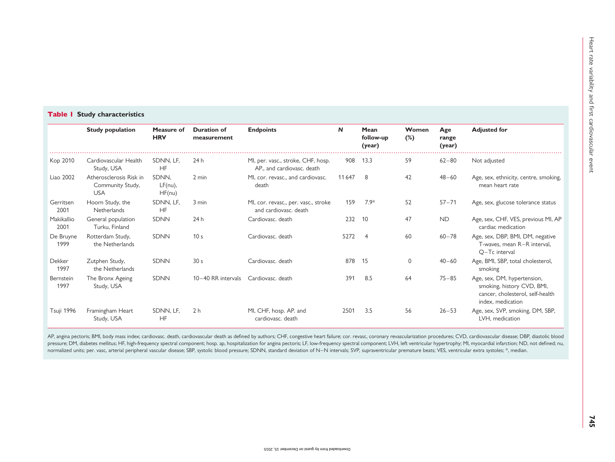#### <span id="page-3-0"></span>Table I Study characteristics

|                    | <b>Study population</b>                                   | Measure of<br><b>HRV</b>      | <b>Duration of</b><br>measurement | <b>Endpoints</b>                                                 | N      | Mean<br>follow-up<br>(year) | Women<br>$(\%)$ | Age<br>range<br>(year) | <b>Adjusted for</b>                                                                                                |
|--------------------|-----------------------------------------------------------|-------------------------------|-----------------------------------|------------------------------------------------------------------|--------|-----------------------------|-----------------|------------------------|--------------------------------------------------------------------------------------------------------------------|
| Kop 2010           | Cardiovascular Health<br>Study, USA                       | SDNN, LF,<br>HF               | 24 h                              | MI, per. vasc., stroke, CHF, hosp.<br>AP., and cardiovasc. death | 908    | 13.3                        | 59              | $62 - 80$              | Not adjusted                                                                                                       |
| Liao 2002          | Atherosclerosis Risk in<br>Community Study,<br><b>USA</b> | SDNN.<br>$LF(nu)$ ,<br>HF(nu) | 2 min                             | MI, cor. revasc., and cardiovasc.<br>death                       | 11 647 | 8                           | 42              | $48 - 60$              | Age, sex, ethnicity, centre, smoking,<br>mean heart rate                                                           |
| Gerritsen<br>2001  | Hoorn Study, the<br>Netherlands                           | SDNN, LF,<br><b>HF</b>        | 3 min                             | MI, cor. revasc., per. vasc., stroke<br>and cardiovasc, death    | 159    | $7.9*$                      | 52              | $57 - 71$              | Age, sex, glucose tolerance status                                                                                 |
| Makikallio<br>2001 | General population<br>Turku, Finland                      | <b>SDNN</b>                   | 24h                               | Cardiovasc. death                                                | 232    | 10                          | 47              | <b>ND</b>              | Age, sex, CHF, VES, previous MI, AF<br>cardiac medication                                                          |
| De Bruyne<br>1999  | Rotterdam Study,<br>the Netherlands                       | <b>SDNN</b>                   | 10 <sub>s</sub>                   | Cardiovasc. death                                                | 5272   | $\overline{4}$              | 60              | $60 - 78$              | Age, sex, DBP, BMI, DM, negative<br>T-waves, mean R-R interval,<br>Q-Tc interval                                   |
| Dekker<br>1997     | Zutphen Study,<br>the Netherlands                         | <b>SDNN</b>                   | 30 <sub>s</sub>                   | Cardiovasc. death                                                | 878    | 15                          | $\Omega$        | $40 - 60$              | Age, BMI, SBP, total cholesterol,<br>smoking                                                                       |
| Bernstein<br>1997  | The Bronx Ageing<br>Study, USA                            | <b>SDNN</b>                   | 10-40 RR intervals                | Cardiovasc, death                                                | 391    | 8.5                         | 64              | $75 - 85$              | Age, sex, DM, hypertension,<br>smoking, history CVD, BMI,<br>cancer, cholesterol, self-health<br>index, medication |
| Tsuji 1996         | Framingham Heart<br>Study, USA                            | SDNN, LF.<br>HF               | 2 <sub>h</sub>                    | MI, CHF, hosp. AP. and<br>cardiovasc, death                      | 2501   | 3.5                         | 56              | $26 - 53$              | Age, sex, SVP, smoking, DM, SBP,<br>LVH, medication                                                                |

AP, angina pectoris; BMI, body mass index; cardiovasc. death, cardiovascular death as defined by authors; CHF, congestive heart failure; cor. revasc, coronary revascularization procedures; CVD, cardiovascular disease; DBP, pressure; DM, diabetes mellitus; HF, high-frequency spectral component; hosp. ap, hospitalization for angina pectoris; LF, low-frequency spectral component; LVH, left ventricular hypertrophy; MI, myocardial infarction; ND, normalized units; per. vasc, arterial peripheral vascular disease; SBP, systolic blood pressure; SDNN, standard deviation of N-N intervals; SVP, supraventricular premature beats; VES, ventricular extra systoles; \*, median.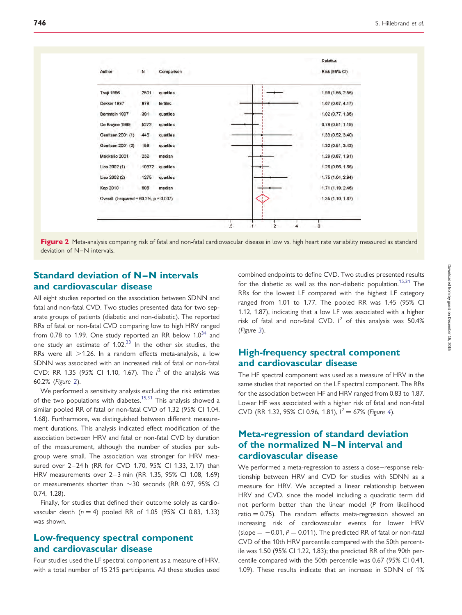

Figure 2 Meta-analysis comparing risk of fatal and non-fatal cardiovascular disease in low vs. high heart rate variability measured as standard deviation of N–N intervals.

## Standard deviation of N-N intervals and cardiovascular disease

All eight studies reported on the association between SDNN and fatal and non-fatal CVD. Two studies presented data for two separate groups of patients (diabetic and non-diabetic). The reported RRs of fatal or non-fatal CVD comparing low to high HRV ranged from 0.78 to 1.99. One study reported an RR below  $1.0^{34}$  $1.0^{34}$  $1.0^{34}$  and one study an estimate of  $1.02<sup>33</sup>$  $1.02<sup>33</sup>$  $1.02<sup>33</sup>$  In the other six studies, the RRs were all  $>$ 1.26. In a random effects meta-analysis, a low SDNN was associated with an increased risk of fatal or non-fatal CVD: RR 1.35 (95% CI 1.10, 1.67). The  $1^2$  of the analysis was 60.2% (Figure 2).

We performed a sensitivity analysis excluding the risk estimates of the two populations with diabetes.<sup>[15,31](#page-7-0)</sup> This analysis showed a similar pooled RR of fatal or non-fatal CVD of 1.32 (95% CI 1.04, 1.68). Furthermore, we distinguished between different measurement durations. This analysis indicated effect modification of the association between HRV and fatal or non-fatal CVD by duration of the measurement, although the number of studies per subgroup were small. The association was stronger for HRV measured over 2–24 h (RR for CVD 1.70, 95% CI 1.33, 2.17) than HRV measurements over 2-3 min (RR 1.35, 95% CI 1.08, 1.69) or measurements shorter than  $\sim$ 30 seconds (RR 0.97, 95% CI 0.74, 1.28).

Finally, for studies that defined their outcome solely as cardiovascular death  $(n = 4)$  pooled RR of 1.05 (95% CI 0.83, 1.33) was shown.

## Low-frequency spectral component and cardiovascular disease

Four studies used the LF spectral component as a measure of HRV, with a total number of 15 215 participants. All these studies used

combined endpoints to define CVD. Two studies presented results for the diabetic as well as the non-diabetic population.<sup>[15,31](#page-7-0)</sup> The RRs for the lowest LF compared with the highest LF category ranged from 1.01 to 1.77. The pooled RR was 1.45 (95% CI 1.12, 1.87), indicating that a low LF was associated with a higher risk of fatal and non-fatal CVD.  $l^2$  of this analysis was 50.4% (Figure [3](#page-5-0)).

## High-frequency spectral component and cardiovascular disease

The HF spectral component was used as a measure of HRV in the same studies that reported on the LF spectral component. The RRs for the association between HF and HRV ranged from 0.83 to 1.87. Lower HF was associated with a higher risk of fatal and non-fatal CVD (RR 1.32, 95% CI 0.96, 1.81),  $I^2 = 67\%$  (Figure [4](#page-5-0)).

## Meta-regression of standard deviation of the normalized N-N interval and cardiovascular disease

We performed a meta-regression to assess a dose-response relationship between HRV and CVD for studies with SDNN as a measure for HRV. We accepted a linear relationship between HRV and CVD, since the model including a quadratic term did not perform better than the linear model (P from likelihood ratio  $= 0.75$ ). The random effects meta-regression showed an increasing risk of cardiovascular events for lower HRV (slope  $= -0.01$ ,  $P = 0.011$ ). The predicted RR of fatal or non-fatal CVD of the 10th HRV percentile compared with the 50th percentile was 1.50 (95% CI 1.22, 1.83); the predicted RR of the 90th percentile compared with the 50th percentile was 0.67 (95% CI 0.41, 1.09). These results indicate that an increase in SDNN of 1%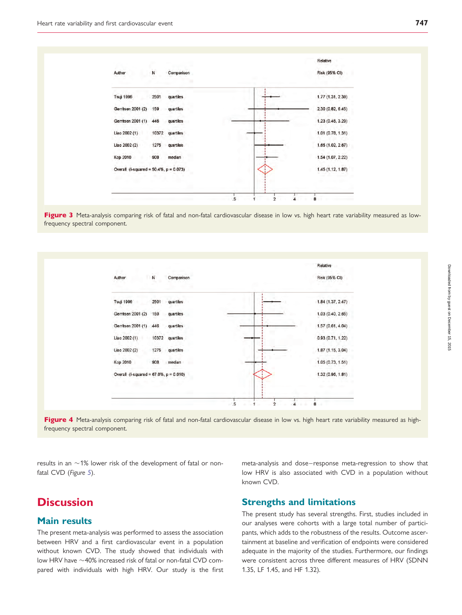<span id="page-5-0"></span>

Figure 3 Meta-analysis comparing risk of fatal and non-fatal cardiovascular disease in low vs. high heart rate variability measured as lowfrequency spectral component.



Figure 4 Meta-analysis comparing risk of fatal and non-fatal cardiovascular disease in low vs. high heart rate variability measured as highfrequency spectral component.

results in an  $\sim$ 1% lower risk of the development of fatal or non-fatal CVD (Figure [5](#page-6-0)).

# **Discussion**

### Main results

The present meta-analysis was performed to assess the association between HRV and a first cardiovascular event in a population without known CVD. The study showed that individuals with low HRV have  $\sim$  40% increased risk of fatal or non-fatal CVD compared with individuals with high HRV. Our study is the first meta-analysis and dose– response meta-regression to show that low HRV is also associated with CVD in a population without known CVD.

## Strengths and limitations

The present study has several strengths. First, studies included in our analyses were cohorts with a large total number of participants, which adds to the robustness of the results. Outcome ascertainment at baseline and verification of endpoints were considered adequate in the majority of the studies. Furthermore, our findings were consistent across three different measures of HRV (SDNN 1.35, LF 1.45, and HF 1.32).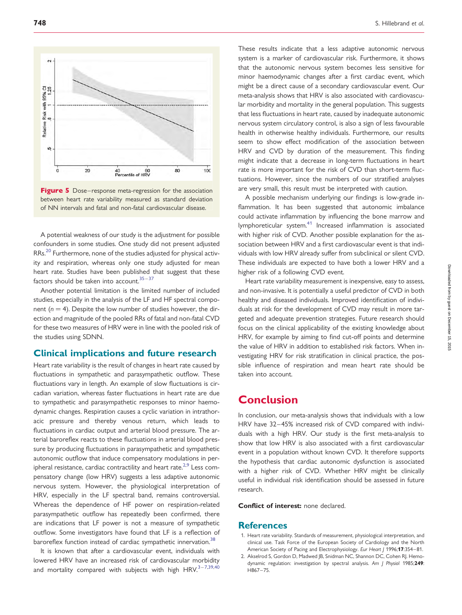<span id="page-6-0"></span>



A potential weakness of our study is the adjustment for possible confounders in some studies. One study did not present adjusted RRs.<sup>[20](#page-7-0)</sup> Furthermore, none of the studies adjusted for physical activity and respiration, whereas only one study adjusted for mean heart rate. Studies have been published that suggest that these factors should be taken into account. $35-37$  $35-37$  $35-37$ 

Another potential limitation is the limited number of included studies, especially in the analysis of the LF and HF spectral component ( $n = 4$ ). Despite the low number of studies however, the direction and magnitude of the pooled RRs of fatal and non-fatal CVD for these two measures of HRV were in line with the pooled risk of the studies using SDNN.

## Clinical implications and future research

Heart rate variability is the result of changes in heart rate caused by fluctuations in sympathetic and parasympathetic outflow. These fluctuations vary in length. An example of slow fluctuations is circadian variation, whereas faster fluctuations in heart rate are due to sympathetic and parasympathetic responses to minor haemodynamic changes. Respiration causes a cyclic variation in intrathoracic pressure and thereby venous return, which leads to fluctuations in cardiac output and arterial blood pressure. The arterial baroreflex reacts to these fluctuations in arterial blood pressure by producing fluctuations in parasympathetic and sympathetic autonomic outflow that induce compensatory modulations in per-ipheral resistance, cardiac contractility and heart rate.<sup>2,[9](#page-7-0)</sup> Less compensatory change (low HRV) suggests a less adaptive autonomic nervous system. However, the physiological interpretation of HRV, especially in the LF spectral band, remains controversial. Whereas the dependence of HF power on respiration-related parasympathetic outflow has repeatedly been confirmed, there are indications that LF power is not a measure of sympathetic outflow. Some investigators have found that LF is a reflection of baroreflex function instead of cardiac sympathetic innervation.<sup>[38](#page-7-0)</sup>

It is known that after a cardiovascular event, individuals with lowered HRV have an increased risk of cardiovascular morbidity and mortality compared with subjects with high  $HRV.<sup>3-7,39,40</sup>$  $HRV.<sup>3-7,39,40</sup>$  $HRV.<sup>3-7,39,40</sup>$  $HRV.<sup>3-7,39,40</sup>$  $HRV.<sup>3-7,39,40</sup>$  These results indicate that a less adaptive autonomic nervous system is a marker of cardiovascular risk. Furthermore, it shows that the autonomic nervous system becomes less sensitive for minor haemodynamic changes after a first cardiac event, which might be a direct cause of a secondary cardiovascular event. Our meta-analysis shows that HRV is also associated with cardiovascular morbidity and mortality in the general population. This suggests that less fluctuations in heart rate, caused by inadequate autonomic nervous system circulatory control, is also a sign of less favourable health in otherwise healthy individuals. Furthermore, our results seem to show effect modification of the association between HRV and CVD by duration of the measurement. This finding might indicate that a decrease in long-term fluctuations in heart rate is more important for the risk of CVD than short-term fluctuations. However, since the numbers of our stratified analyses are very small, this result must be interpreted with caution.

A possible mechanism underlying our findings is low-grade inflammation. It has been suggested that autonomic imbalance could activate inflammation by influencing the bone marrow and lymphoreticular system.[41](#page-7-0) Increased inflammation is associated with higher risk of CVD. Another possible explanation for the association between HRV and a first cardiovascular event is that individuals with low HRV already suffer from subclinical or silent CVD. These individuals are expected to have both a lower HRV and a higher risk of a following CVD event.

Heart rate variability measurement is inexpensive, easy to assess, and non-invasive. It is potentially a useful predictor of CVD in both healthy and diseased individuals. Improved identification of individuals at risk for the development of CVD may result in more targeted and adequate prevention strategies. Future research should focus on the clinical applicability of the existing knowledge about HRV, for example by aiming to find cut-off points and determine the value of HRV in addition to established risk factors. When investigating HRV for risk stratification in clinical practice, the possible influence of respiration and mean heart rate should be taken into account.

## Conclusion

In conclusion, our meta-analysis shows that individuals with a low HRV have 32-45% increased risk of CVD compared with individuals with a high HRV. Our study is the first meta-analysis to show that low HRV is also associated with a first cardiovascular event in a population without known CVD. It therefore supports the hypothesis that cardiac autonomic dysfunction is associated with a higher risk of CVD. Whether HRV might be clinically useful in individual risk identification should be assessed in future research.

Conflict of interest: none declared.

#### **References**

- 1. Heart rate variability. Standards of measurement, physiological interpretation, and clinical use. Task Force of the European Society of Cardiology and the North American Society of Pacing and Electrophysiology. Eur Heart J 1996;17:354-81.
- 2. Akselrod S, Gordon D, Madwed JB, Snidman NC, Shannon DC, Cohen RJ. Hemodynamic regulation: investigation by spectral analysis. Am J Physiol 1985;249: H867 –75.